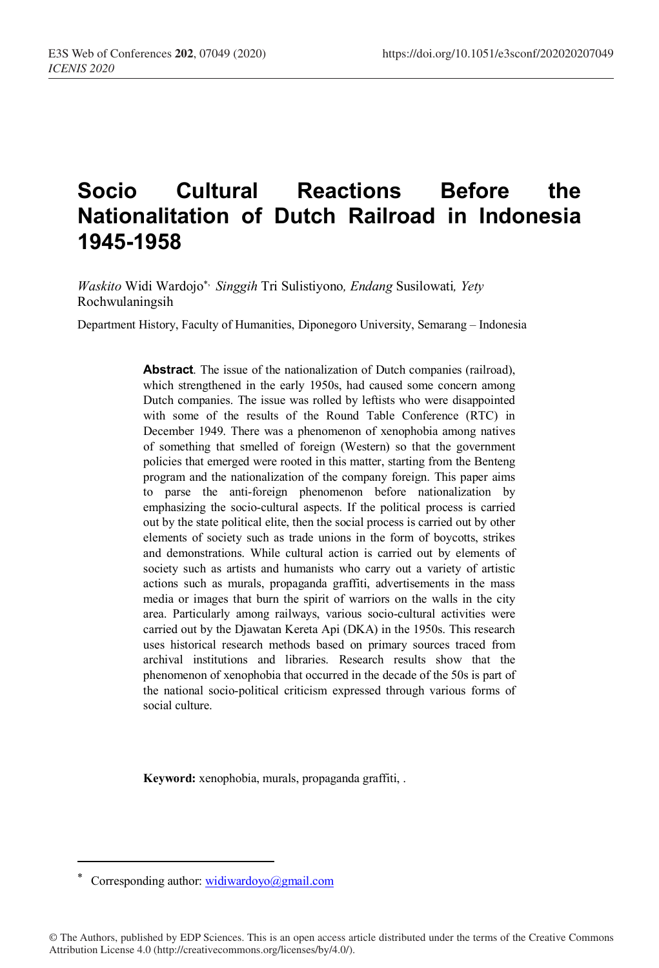# **Socio Cultural Reactions Before the Nationalitation of Dutch Railroad in Indonesia 1945-1958**

*Waskito* Widi Wardojo\*, *Singgih* Tri Sulistiyono*, Endang* Susilowati*, Yety* Rochwulaningsih

Department History, Faculty of Humanities, Diponegoro University, Semarang – Indonesia

**Abstract**. The issue of the nationalization of Dutch companies (railroad), which strengthened in the early 1950s, had caused some concern among Dutch companies. The issue was rolled by leftists who were disappointed with some of the results of the Round Table Conference (RTC) in December 1949. There was a phenomenon of xenophobia among natives of something that smelled of foreign (Western) so that the government policies that emerged were rooted in this matter, starting from the Benteng program and the nationalization of the company foreign. This paper aims to parse the anti-foreign phenomenon before nationalization by emphasizing the socio-cultural aspects. If the political process is carried out by the state political elite, then the social process is carried out by other elements of society such as trade unions in the form of boycotts, strikes and demonstrations. While cultural action is carried out by elements of society such as artists and humanists who carry out a variety of artistic actions such as murals, propaganda graffiti, advertisements in the mass media or images that burn the spirit of warriors on the walls in the city area. Particularly among railways, various socio-cultural activities were carried out by the Djawatan Kereta Api (DKA) in the 1950s. This research uses historical research methods based on primary sources traced from archival institutions and libraries. Research results show that the phenomenon of xenophobia that occurred in the decade of the 50s is part of the national socio-political criticism expressed through various forms of social culture.

**Keyword:** xenophobia, murals, propaganda graffiti, .

 $\overline{\phantom{a}}$ 

<sup>\*</sup> Corresponding author: widiwardoyo@gmail.com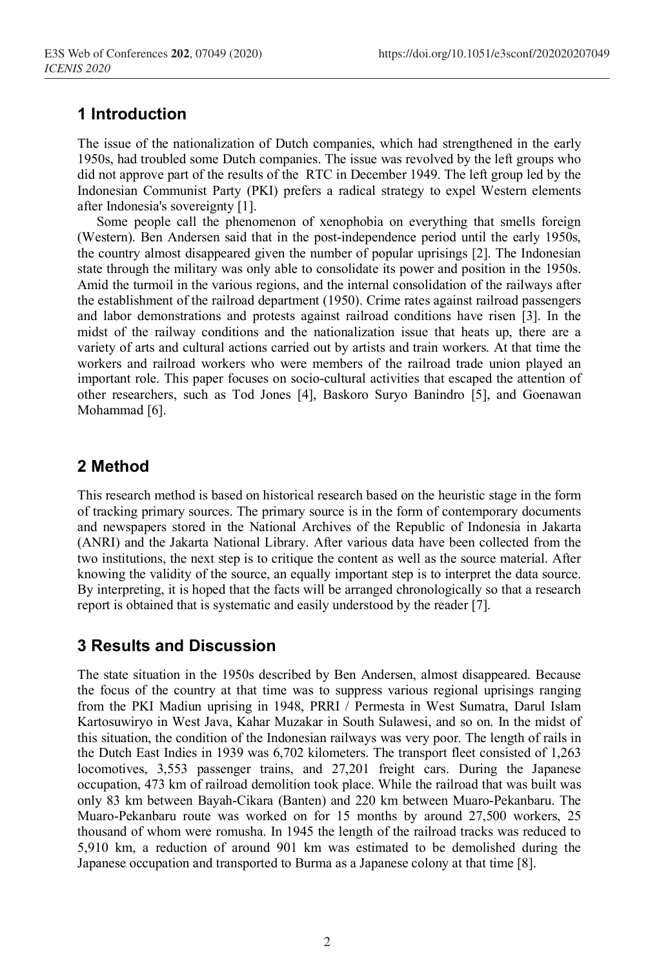# **1 Introduction**

The issue of the nationalization of Dutch companies, which had strengthened in the early 1950s, had troubled some Dutch companies. The issue was revolved by the left groups who did not approve part of the results of the RTC in December 1949. The left group led by the Indonesian Communist Party (PKI) prefers a radical strategy to expel Western elements after Indonesia's sovereignty [1].

Some people call the phenomenon of xenophobia on everything that smells foreign (Western). Ben Andersen said that in the post-independence period until the early 1950s, the country almost disappeared given the number of popular uprisings [2]. The Indonesian state through the military was only able to consolidate its power and position in the 1950s. Amid the turmoil in the various regions, and the internal consolidation of the railways after the establishment of the railroad department (1950). Crime rates against railroad passengers and labor demonstrations and protests against railroad conditions have risen [3]. In the midst of the railway conditions and the nationalization issue that heats up, there are a variety of arts and cultural actions carried out by artists and train workers. At that time the workers and railroad workers who were members of the railroad trade union played an important role. This paper focuses on socio-cultural activities that escaped the attention of other researchers, such as Tod Jones [4], Baskoro Suryo Banindro [5], and Goenawan Mohammad [6].

# **2 Method**

This research method is based on historical research based on the heuristic stage in the form of tracking primary sources. The primary source is in the form of contemporary documents and newspapers stored in the National Archives of the Republic of Indonesia in Jakarta (ANRI) and the Jakarta National Library. After various data have been collected from the two institutions, the next step is to critique the content as well as the source material. After knowing the validity of the source, an equally important step is to interpret the data source. By interpreting, it is hoped that the facts will be arranged chronologically so that a research report is obtained that is systematic and easily understood by the reader [7].

# **3 Results and Discussion**

The state situation in the 1950s described by Ben Andersen, almost disappeared. Because the focus of the country at that time was to suppress various regional uprisings ranging from the PKI Madiun uprising in 1948, PRRI / Permesta in West Sumatra, Darul Islam Kartosuwiryo in West Java, Kahar Muzakar in South Sulawesi, and so on. In the midst of this situation, the condition of the Indonesian railways was very poor. The length of rails in the Dutch East Indies in 1939 was 6,702 kilometers. The transport fleet consisted of 1,263 locomotives, 3,553 passenger trains, and 27,201 freight cars. During the Japanese occupation, 473 km of railroad demolition took place. While the railroad that was built was only 83 km between Bayah-Cikara (Banten) and 220 km between Muaro-Pekanbaru. The Muaro-Pekanbaru route was worked on for 15 months by around 27,500 workers, 25 thousand of whom were romusha. In 1945 the length of the railroad tracks was reduced to 5,910 km, a reduction of around 901 km was estimated to be demolished during the Japanese occupation and transported to Burma as a Japanese colony at that time [8].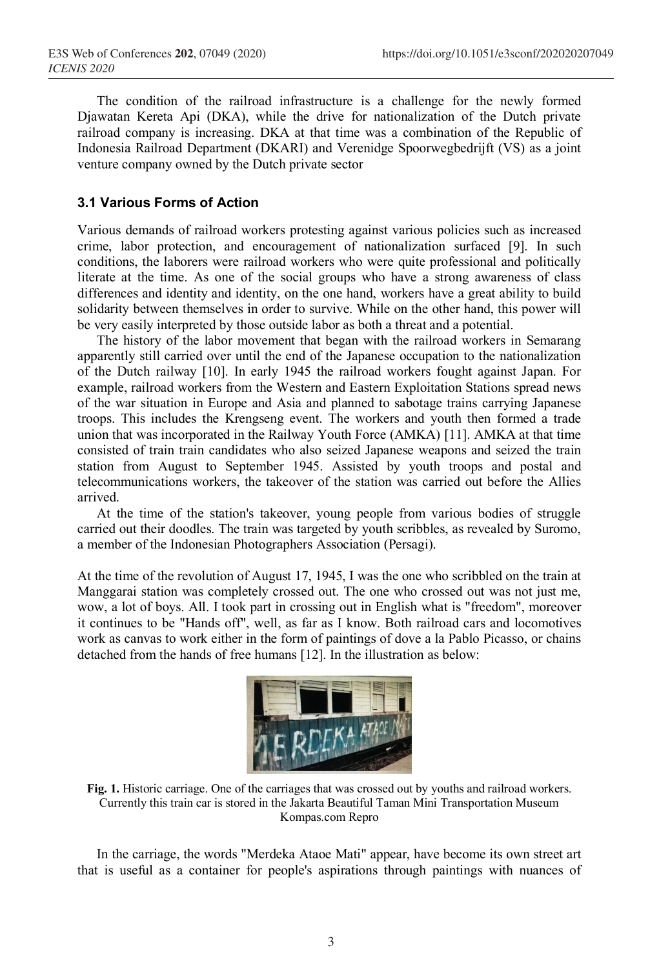The condition of the railroad infrastructure is a challenge for the newly formed Djawatan Kereta Api (DKA), while the drive for nationalization of the Dutch private railroad company is increasing. DKA at that time was a combination of the Republic of Indonesia Railroad Department (DKARI) and Verenidge Spoorwegbedrijft (VS) as a joint venture company owned by the Dutch private sector

#### **3.1 Various Forms of Action**

Various demands of railroad workers protesting against various policies such as increased crime, labor protection, and encouragement of nationalization surfaced [9]. In such conditions, the laborers were railroad workers who were quite professional and politically literate at the time. As one of the social groups who have a strong awareness of class differences and identity and identity, on the one hand, workers have a great ability to build solidarity between themselves in order to survive. While on the other hand, this power will be very easily interpreted by those outside labor as both a threat and a potential.

The history of the labor movement that began with the railroad workers in Semarang apparently still carried over until the end of the Japanese occupation to the nationalization of the Dutch railway [10]. In early 1945 the railroad workers fought against Japan. For example, railroad workers from the Western and Eastern Exploitation Stations spread news of the war situation in Europe and Asia and planned to sabotage trains carrying Japanese troops. This includes the Krengseng event. The workers and youth then formed a trade union that was incorporated in the Railway Youth Force (AMKA) [11]. AMKA at that time consisted of train train candidates who also seized Japanese weapons and seized the train station from August to September 1945. Assisted by youth troops and postal and telecommunications workers, the takeover of the station was carried out before the Allies arrived.

At the time of the station's takeover, young people from various bodies of struggle carried out their doodles. The train was targeted by youth scribbles, as revealed by Suromo, a member of the Indonesian Photographers Association (Persagi).

At the time of the revolution of August 17, 1945, I was the one who scribbled on the train at Manggarai station was completely crossed out. The one who crossed out was not just me, wow, a lot of boys. All. I took part in crossing out in English what is "freedom", moreover it continues to be "Hands off", well, as far as I know. Both railroad cars and locomotives work as canvas to work either in the form of paintings of dove a la Pablo Picasso, or chains detached from the hands of free humans [12]. In the illustration as below:



**Fig. 1.** Historic carriage. One of the carriages that was crossed out by youths and railroad workers. Currently this train car is stored in the Jakarta Beautiful Taman Mini Transportation Museum Kompas.com Repro

In the carriage, the words "Merdeka Ataoe Mati" appear, have become its own street art that is useful as a container for people's aspirations through paintings with nuances of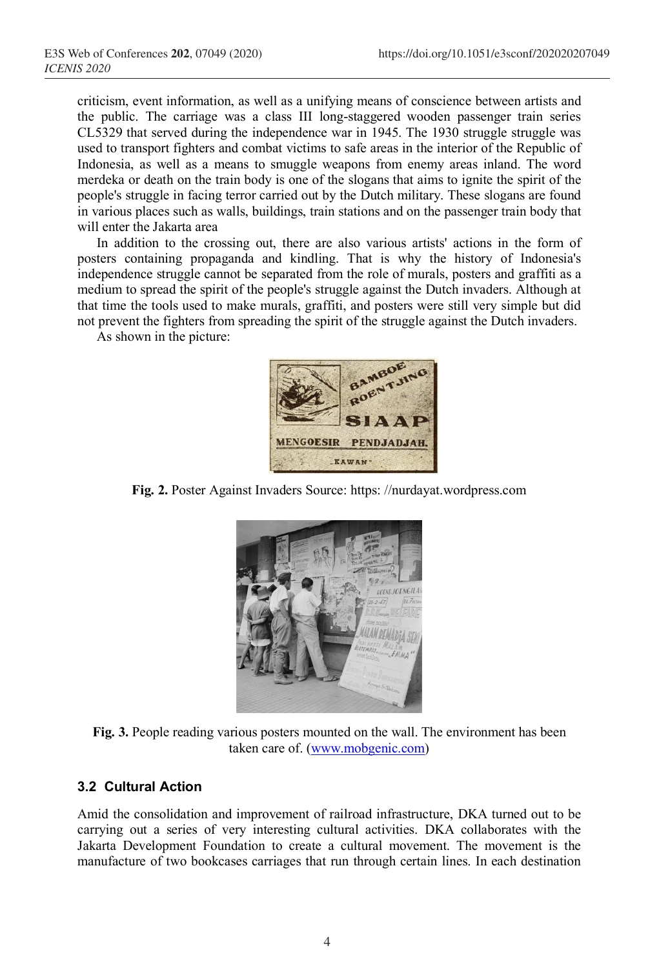criticism, event information, as well as a unifying means of conscience between artists and the public. The carriage was a class III long-staggered wooden passenger train series CL5329 that served during the independence war in 1945. The 1930 struggle struggle was used to transport fighters and combat victims to safe areas in the interior of the Republic of Indonesia, as well as a means to smuggle weapons from enemy areas inland. The word merdeka or death on the train body is one of the slogans that aims to ignite the spirit of the people's struggle in facing terror carried out by the Dutch military. These slogans are found in various places such as walls, buildings, train stations and on the passenger train body that will enter the Jakarta area

In addition to the crossing out, there are also various artists' actions in the form of posters containing propaganda and kindling. That is why the history of Indonesia's independence struggle cannot be separated from the role of murals, posters and graffiti as a medium to spread the spirit of the people's struggle against the Dutch invaders. Although at that time the tools used to make murals, graffiti, and posters were still very simple but did not prevent the fighters from spreading the spirit of the struggle against the Dutch invaders.

As shown in the picture:



**Fig. 2.** Poster Against Invaders Source: https: //nurdayat.wordpress.com



**Fig. 3.** People reading various posters mounted on the wall. The environment has been taken care of. (www.mobgenic.com)

#### **3.2 Cultural Action**

Amid the consolidation and improvement of railroad infrastructure, DKA turned out to be carrying out a series of very interesting cultural activities. DKA collaborates with the Jakarta Development Foundation to create a cultural movement. The movement is the manufacture of two bookcases carriages that run through certain lines. In each destination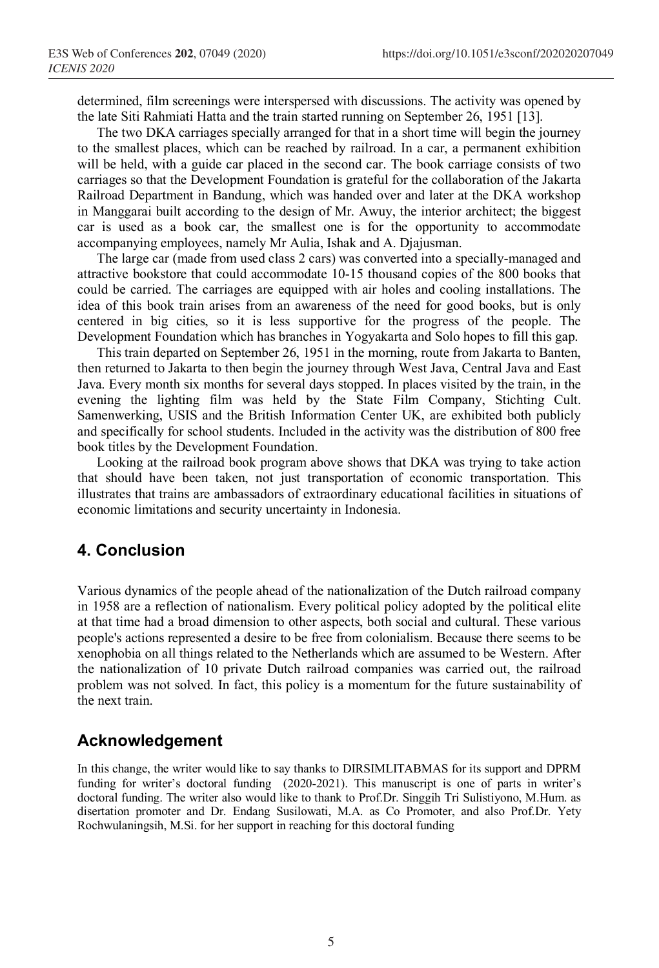determined, film screenings were interspersed with discussions. The activity was opened by the late Siti Rahmiati Hatta and the train started running on September 26, 1951 [13].

The two DKA carriages specially arranged for that in a short time will begin the journey to the smallest places, which can be reached by railroad. In a car, a permanent exhibition will be held, with a guide car placed in the second car. The book carriage consists of two carriages so that the Development Foundation is grateful for the collaboration of the Jakarta Railroad Department in Bandung, which was handed over and later at the DKA workshop in Manggarai built according to the design of Mr. Awuy, the interior architect; the biggest car is used as a book car, the smallest one is for the opportunity to accommodate accompanying employees, namely Mr Aulia, Ishak and A. Djajusman.

The large car (made from used class 2 cars) was converted into a specially-managed and attractive bookstore that could accommodate 10-15 thousand copies of the 800 books that could be carried. The carriages are equipped with air holes and cooling installations. The idea of this book train arises from an awareness of the need for good books, but is only centered in big cities, so it is less supportive for the progress of the people. The Development Foundation which has branches in Yogyakarta and Solo hopes to fill this gap.

This train departed on September 26, 1951 in the morning, route from Jakarta to Banten, then returned to Jakarta to then begin the journey through West Java, Central Java and East Java. Every month six months for several days stopped. In places visited by the train, in the evening the lighting film was held by the State Film Company, Stichting Cult. Samenwerking, USIS and the British Information Center UK, are exhibited both publicly and specifically for school students. Included in the activity was the distribution of 800 free book titles by the Development Foundation.

Looking at the railroad book program above shows that DKA was trying to take action that should have been taken, not just transportation of economic transportation. This illustrates that trains are ambassadors of extraordinary educational facilities in situations of economic limitations and security uncertainty in Indonesia.

# **4. Conclusion**

Various dynamics of the people ahead of the nationalization of the Dutch railroad company in 1958 are a reflection of nationalism. Every political policy adopted by the political elite at that time had a broad dimension to other aspects, both social and cultural. These various people's actions represented a desire to be free from colonialism. Because there seems to be xenophobia on all things related to the Netherlands which are assumed to be Western. After the nationalization of 10 private Dutch railroad companies was carried out, the railroad problem was not solved. In fact, this policy is a momentum for the future sustainability of the next train.

# **Acknowledgement**

In this change, the writer would like to say thanks to DIRSIMLITABMAS for its support and DPRM funding for writer's doctoral funding (2020-2021). This manuscript is one of parts in writer's doctoral funding. The writer also would like to thank to Prof.Dr. Singgih Tri Sulistiyono, M.Hum. as disertation promoter and Dr. Endang Susilowati, M.A. as Co Promoter, and also Prof.Dr. Yety Rochwulaningsih, M.Si. for her support in reaching for this doctoral funding